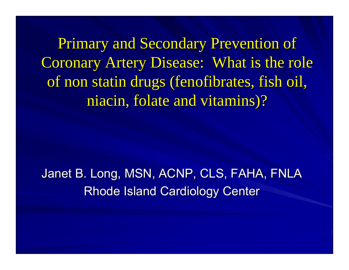Primary and Secondary Prevention of Coronary Artery Disease: What is the role of non statin drugs (fenofibrates, fish oil, niacin, folate and vitamins)?

Janet B. Long, MSN, ACNP, CLS, FAHA, FNLA Rhode Island Cardiology Center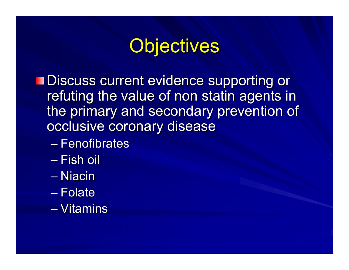## Objectives

**Discuss current evidence supporting or** refuting the value of non statin agents in the primary and secondary prevention of occlusive coronary disease

- Fenofibrates
- Fish oil
- Niacin
- Folate
- Vitamins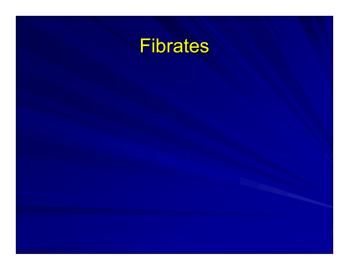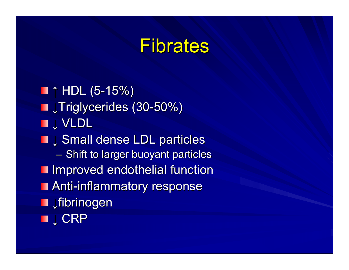## Fibrates

 $\blacksquare$  ↑ HDL (5-15%) ■ JTriglycerides (30-50%) ■↓ VLDL ■↓ Small dense LDL particles  $-$  Shift to larger buoyant particles **Improved endothelial function Anti-inflammatory response** ■ ↓fibrinogen ■↓ CRP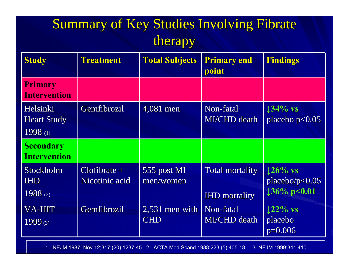### Summary of Key Studies Involving Fibrate therapy

| <b>Study</b>                              | <b>Treatment</b>                 | <b>Total Subjects</b>          | <b>Primary end</b><br>point                    | <b>Findings</b>                                  |
|-------------------------------------------|----------------------------------|--------------------------------|------------------------------------------------|--------------------------------------------------|
| <b>Primary</b><br><b>Intervention</b>     |                                  |                                |                                                |                                                  |
| Helsinki<br><b>Heart Study</b><br>1998(1) | Gemfibrozil                      | $4,081$ men                    | Non-fatal<br><b>MI/CHD</b> death               | $134\%$ vs<br>placebo $p<0.05$                   |
| <b>Secondary</b><br><b>Intervention</b>   |                                  |                                |                                                |                                                  |
| Stockholm<br><b>IHD</b><br>1988 $(2)$     | $Clofibrate +$<br>Nicotinic acid | 555 post MI<br>men/women       | <b>Total mortality</b><br><b>IHD</b> mortality | $126\%$ vs<br>placebo/p < 0.05<br>$136\%$ p<0.01 |
| VA-HIT<br>$1999_{(3)}$                    | Gemfibrozil                      | $2,531$ men with<br><b>CHD</b> | Non-fatal<br><b>MI/CHD</b> death               | $122\%$ vs<br>placebo<br>$p=0.006$               |

1. NEJM 1987. Nov 12;317 (20) 1237-45 2. ACTA Med Scand 1988;223 (5):405-18 3. NEJM 1999:341:410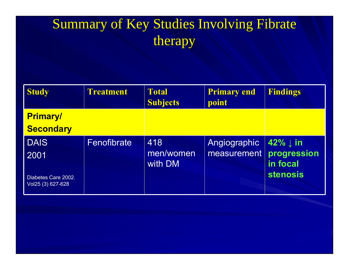### Summary of Key Studies Involving Fibrate therapy

| <b>Study</b>                             | <b>Treatment</b> | <b>Total</b><br><b>Subjects</b> | <b>Primary end</b><br>point             | <b>Findings</b>                  |
|------------------------------------------|------------------|---------------------------------|-----------------------------------------|----------------------------------|
| <b>Primary/</b>                          |                  |                                 |                                         |                                  |
| <b>Secondary</b>                         |                  |                                 |                                         |                                  |
| <b>DAIS</b><br>2001                      | Fenofibrate      | 418<br>men/women<br>with DM     | Angiographic<br>measurement progression | $42\% \downarrow in$<br>in focal |
| Diabetes Care 2002.<br>Vol25 (3) 627-628 |                  |                                 |                                         | stenosis                         |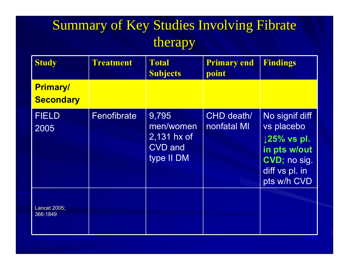### Summary of Key Studies Involving Fibrate therapy

| <b>Study</b>                        | <b>Treatment</b> | <b>Total</b><br><b>Subjects</b>                                     | <b>Primary end</b><br>point | <b>Findings</b>                                                                                                          |
|-------------------------------------|------------------|---------------------------------------------------------------------|-----------------------------|--------------------------------------------------------------------------------------------------------------------------|
| <b>Primary/</b><br><b>Secondary</b> |                  |                                                                     |                             |                                                                                                                          |
| <b>FIELD</b><br>2005                | Fenofibrate      | 9,795<br>men/women<br>$2,131$ hx of<br><b>CVD</b> and<br>type II DM | CHD death/<br>nonfatal MI   | No signif diff<br>vs placebo<br>$\downarrow$ 25% vs pl.<br>in pts w/out<br>CVD; no sig.<br>diff vs pl. in<br>pts w/h CVD |
| Lancet 2005;<br>366:1849            |                  |                                                                     |                             |                                                                                                                          |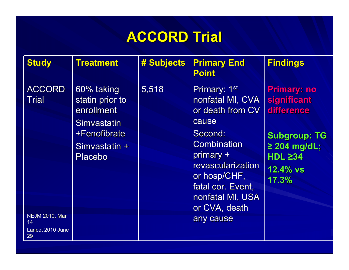### **ACCORD Trial ACCORD Trial**

| <b>Study</b>                                                                           | <b>Treatment</b>                                                                                              | # Subjects | <b>Primary End</b><br><b>Point</b>                                                                                                                                                                                      | <b>Findings</b>                                                                                                                          |
|----------------------------------------------------------------------------------------|---------------------------------------------------------------------------------------------------------------|------------|-------------------------------------------------------------------------------------------------------------------------------------------------------------------------------------------------------------------------|------------------------------------------------------------------------------------------------------------------------------------------|
| <b>ACCORD</b><br><b>Trial</b><br><b>NEJM 2010, Mar</b><br>14<br>Lancet 2010 June<br>29 | 60% taking<br>statin prior to<br>enrollment<br>Simvastatin<br>+Fenofibrate<br>Simvastatin +<br><b>Placebo</b> | 5,518      | Primary: 1st<br>nonfatal MI, CVA<br>or death from CV<br>cause<br>Second:<br><b>Combination</b><br>primary +<br>revascularization<br>or hosp/CHF,<br>fatal cor. Event,<br>nonfatal MI, USA<br>or CVA, death<br>any cause | <b>Primary: no</b><br>significant<br>difference<br><b>Subgroup: TG</b><br>$\geq$ 204 mg/dL;<br>HDL $\geq$ 34<br><b>12.4% vs</b><br>17.3% |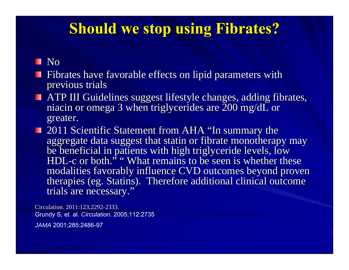#### **Should we stop using Fibrates? Should we stop using Fibrates?**

**No** 

- **Fibrates have favorable effects on lipid parameters with** previous trials previous trials
- $\blacksquare$  ATP III Guidelines suggest lifestyle changes, adding fibrates, niacin or omega 3 when triglycerides are 200 mg/dL or greater.
- 2011 Scientific Statement from AHA "In summary the aggregate data suggest that statin or fibrate monotherapy may be beneficial in patients with high triglyceride levels, low HDL-c or both. ,, " What remains to be seen is whether these modalities favorably influence CVD outcomes beyond proven therapies (eg. Statins). Therefore additional clinical outcome trials are necessary."

Circulation. 2011:123:2292-2333. Grundy S, et. al. *Circulation.* 2005;112:2735 *JAMA* 2001;285:2486-97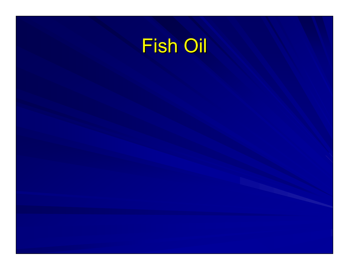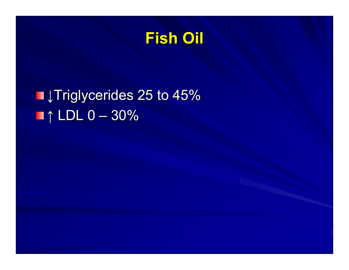### **Fish Oil Fish Oil**

## ■↓Triglycerides 25 to 45%  $\blacksquare$ ↑ LDL 0 – 30%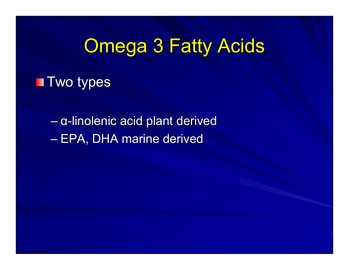# **Omega 3 Fatty Acids**

**T** Two types

– α-linolenic acid plant derived – EPA, DHA marine derived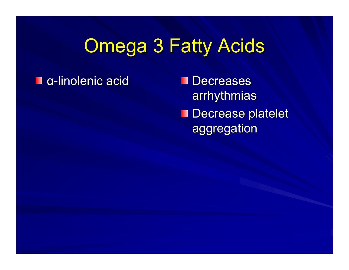# **Omega 3 Fatty Acids**

#### α -linolenic acid linolenic acid

**Decreases** arrhythmias arrhythmias **Decrease platelet** aggregation aggregation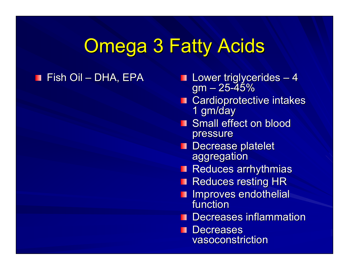## **Omega 3 Fatty Acids**

#### Fish Oil –

- DHA, EPA DHA, EPA Lower triglycerides Lower triglycerides  $-4$ gm – 25 -45%
	- Cardioprotective intakes<br>1 gm/day
	- **Small effect on blood** pressure
	- **Decrease platelet** aggregation aggregation
	- **Reduces arrhythmias**
	- **Reduces resting HR**
	- **I** Improves endothelial function
	- Decreases inflammation

**Decreases** П vasoconstriction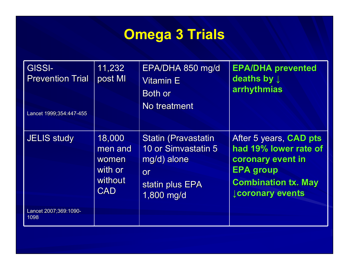## **Omega 3 Trials**

| <b>GISSI-</b><br><b>Prevention Trial</b><br>Lancet 1999;354:447-455 | 11,232<br>post MI                                              | EPA/DHA 850 mg/d<br><b>Vitamin E</b><br>Both or<br>No treatment                                         | <b>EPA/DHA prevented</b><br>deaths by $\downarrow$<br>arrhythmias                                                                                        |
|---------------------------------------------------------------------|----------------------------------------------------------------|---------------------------------------------------------------------------------------------------------|----------------------------------------------------------------------------------------------------------------------------------------------------------|
| <b>JELIS study</b>                                                  | 18,000<br>men and<br>women<br>with or<br>without<br><b>CAD</b> | <b>Statin (Pravastatin</b><br>10 or Simvastatin 5<br>mg/d) alone<br>or<br>statin plus EPA<br>1,800 mg/d | After 5 years, <b>CAD pts</b><br>had 19% lower rate of<br>coronary event in<br><b>EPA group</b><br><b>Combination tx. May</b><br><b>Lcoronary events</b> |
| Lancet 2007;369:1090-<br>1098                                       |                                                                |                                                                                                         |                                                                                                                                                          |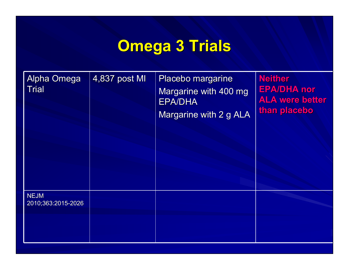## **Omega 3 Trials Omega 3 Trials**

| Alpha Omega<br><b>Trial</b>       | 4,837 post MI | Placebo margarine<br>Margarine with 400 mg<br><b>EPA/DHA</b><br>Margarine with 2 g ALA | <b>Neither</b><br><b>EPA/DHA nor</b><br><b>ALA were better</b><br>than placebo |
|-----------------------------------|---------------|----------------------------------------------------------------------------------------|--------------------------------------------------------------------------------|
| <b>NEJM</b><br>2010;363:2015-2026 |               |                                                                                        |                                                                                |
|                                   |               |                                                                                        |                                                                                |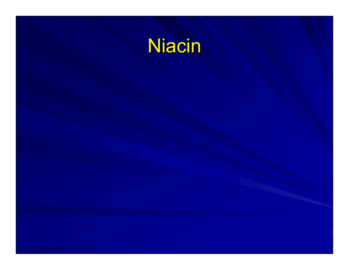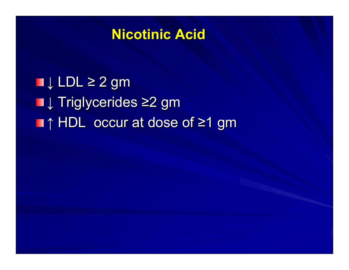#### **Nicotinic Acid Nicotinic Acid**

 $\blacksquare$  LDL  $\geq$  2 gm ■↓ Triglycerides ≥2 gm ■↑ HDL occur at dose of ≥1 gm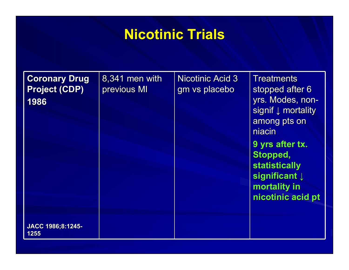#### **Nicotinic Trials Nicotinic Trials**

| <b>Coronary Drug</b><br><b>Project (CDP)</b><br>1986 | 8,341 men with<br>previous MI | <b>Nicotinic Acid 3</b><br>gm vs placebo | <b>Treatments</b><br>stopped after 6<br>yrs. Modes, non-<br>signif $\downarrow$ mortality<br>among pts on<br>niacin<br>9 yrs after tx.<br>Stopped,<br><b>statistically</b><br>significant $\downarrow$<br>mortality in<br>nicotinic acid pt |
|------------------------------------------------------|-------------------------------|------------------------------------------|---------------------------------------------------------------------------------------------------------------------------------------------------------------------------------------------------------------------------------------------|
| JACC 1986;8:1245-<br>1255                            |                               |                                          |                                                                                                                                                                                                                                             |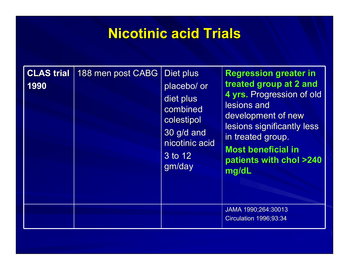#### **Nicotinic acid Trials Nicotinic acid Trials**

| <b>CLAS</b> trial<br>1990 | 188 men post CABG | Diet plus<br>placebo/ or<br>diet plus<br>combined<br>colestipol<br>30 g/d and<br>nicotinic acid<br>3 to 12<br>gm/day | <b>Regression greater in</b><br>treated group at 2 and<br>4 yrs. Progression of old<br>lesions and<br>development of new<br>lesions significantly less<br>in treated group.<br><b>Most beneficial in</b><br>patients with chol >240<br>mg/dL |
|---------------------------|-------------------|----------------------------------------------------------------------------------------------------------------------|----------------------------------------------------------------------------------------------------------------------------------------------------------------------------------------------------------------------------------------------|
|                           |                   |                                                                                                                      | JAMA 1990;264:30013<br><b>Circulation 1996;93:34</b>                                                                                                                                                                                         |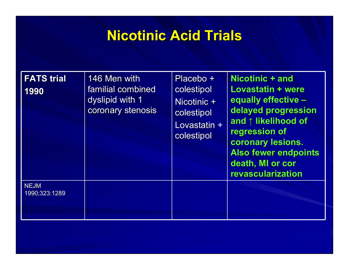#### **Nicotinic Acid Trials Nicotinic Acid Trials**

| <b>FATS trial</b><br>1990    | 146 Men with<br>familial combined<br>dyslipid with 1<br>coronary stenosis | Placebo +<br>colestipol<br>Nicotinic +<br>colestipol<br>Lovastatin +<br>colestipol | Nicotinic + and<br>Lovastatin + were<br>equally effective -<br>delayed progression<br>and ↑ likelihood of<br>regression of<br>coronary lesions.<br><b>Also fewer endpoints</b><br>death, MI or cor<br>revascularization |
|------------------------------|---------------------------------------------------------------------------|------------------------------------------------------------------------------------|-------------------------------------------------------------------------------------------------------------------------------------------------------------------------------------------------------------------------|
| <b>NEJM</b><br>1990;323:1289 |                                                                           |                                                                                    |                                                                                                                                                                                                                         |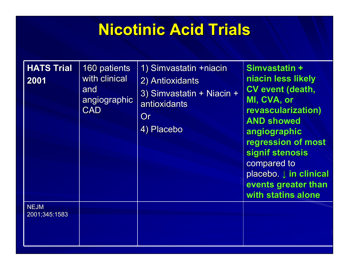## **Nicotinic Acid Trials Nicotinic Acid Trials**

| <b>HATS Trial</b><br>2001    | 160 patients<br>with clinical<br>and<br>angiographic<br><b>CAD</b> | 1) Simvastatin +niacin<br>2) Antioxidants<br>3) Simvastatin + Niacin +<br>antioxidants<br>Or<br>4) Placebo | Simvastatin +<br>niacin less likely<br><b>CV event (death,</b><br>MI, CVA, or<br>revascularization)<br><b>AND showed</b><br>angiographic<br>regression of most<br>signif stenosis<br>compared to<br>placebo. $\downarrow$ in clinical<br>events greater than<br>with statins alone |
|------------------------------|--------------------------------------------------------------------|------------------------------------------------------------------------------------------------------------|------------------------------------------------------------------------------------------------------------------------------------------------------------------------------------------------------------------------------------------------------------------------------------|
| <b>NEJM</b><br>2001;345:1583 |                                                                    |                                                                                                            |                                                                                                                                                                                                                                                                                    |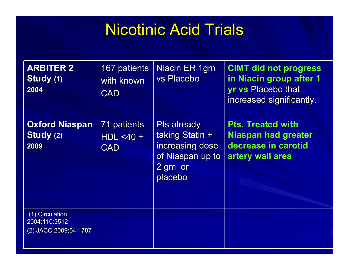### Nicotinic Acid Trials

| <b>ARBITER 2</b><br>Study (1)<br>2004                     | 167 patients<br>with known<br><b>CAD</b>  | Niacin ER 1gm<br>vs Placebo                                                                        | <b>CIMT did not progress</b><br>in Niacin group after 1<br><b>yr vs Placebo that</b><br>increased significantly. |
|-----------------------------------------------------------|-------------------------------------------|----------------------------------------------------------------------------------------------------|------------------------------------------------------------------------------------------------------------------|
| <b>Oxford Niaspan</b><br>Study (2)<br>2009                | 71 patients<br>$HDL < 40 +$<br><b>CAD</b> | <b>Pts already</b><br>taking Statin +<br>increasing dose<br>of Niaspan up to<br>2 gm or<br>placebo | <b>Pts. Treated with</b><br><b>Niaspan had greater</b><br>decrease in carotid<br>artery wall area                |
| (1) Circulation<br>2004;110:3512<br>(2) JACC 2009;54:1787 |                                           |                                                                                                    |                                                                                                                  |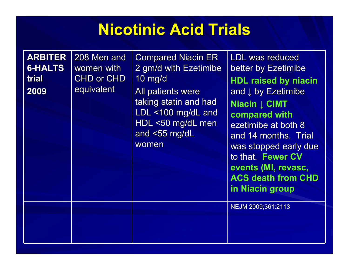## **Nicotinic Acid Trials Nicotinic Acid Trials**

**ARBITER 6-HALTS trial2009**208 Men and women with CHD or CHD equivalent **Compared Niacin ER** 2 gm/d with Ezetimibe 2 gm/d with Ezetimibe 10 mg/d 10 mg/d All patients were taking statin and had LDL  $<$ 100 mg/dL and HDL <50 mg/dL men and  $<$  55 mg/dL womenLDL was reduced better by Ezetimibe **HDL raised by niacin HDL raised by niacin** and  $\downarrow$  by Ezetimibe  $\vert$ **Niacin ↓ CIMT compared with compared with** ezetimibe at both 8 and 14 months. Trial was stopped early due to that. Fewer CV **events (MI, revasc, ACS death from CHD in Niacin group in Niacin group** NEJM 2009;361:2113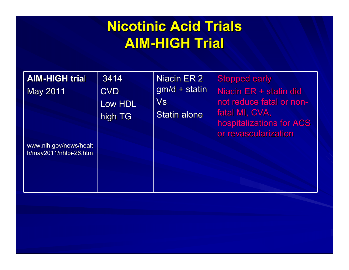### **Nicotinic Acid Trials Nicotinic Acid Trials AIM -HIGH Trial HIGH Trial**

| <b>AIM-HIGH trial</b><br>May 2011                | 3414<br><b>CVD</b><br>Low HDL<br>high TG | Niacin ER 2<br>$gm/d + statin$<br>$\mathsf{V}\mathsf{s}$<br><b>Statin alone</b> | <b>Stopped early</b><br>Niacin ER + statin did<br>not reduce fatal or non-<br>fatal MI, CVA,<br>hospitalizations for ACS<br>or revascularization |
|--------------------------------------------------|------------------------------------------|---------------------------------------------------------------------------------|--------------------------------------------------------------------------------------------------------------------------------------------------|
| www.nih.gov/news/healt<br>h/may2011/nhlbi-26.htm |                                          |                                                                                 |                                                                                                                                                  |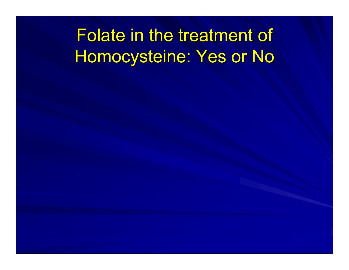## Folate in the treatment of Homocysteine: Yes or No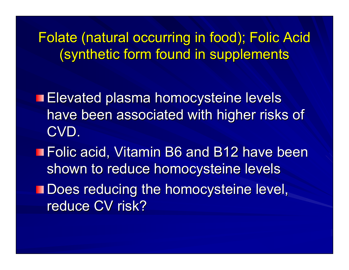Folate (natural occurring in food); Folic Acid (synthetic form found in supplements (synthetic form found in supplements

**Elevated plasma homocysteine levels** have been associated with higher risks of CVD.

■ Folic acid, Vitamin B6 and B12 have been shown to reduce homocysteine levels

**Thoes reducing the homocysteine level,** reduce CV risk?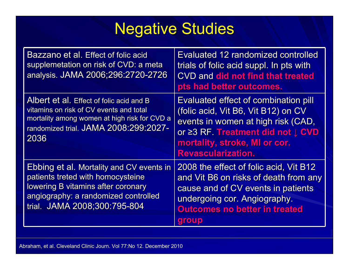## **Negative Studies**

| Bazzano et al. Effect of folic acid<br>supplemetation on risk of CVD: a meta<br>analysis. JAMA 2006;296:2720-2726                                                                           | <b>Evaluated 12 randomized controlled</b><br>trials of folic acid suppl. In pts with<br><b>CVD and did not find that treated</b><br>pts had better outcomes.                                                         |
|---------------------------------------------------------------------------------------------------------------------------------------------------------------------------------------------|----------------------------------------------------------------------------------------------------------------------------------------------------------------------------------------------------------------------|
| Albert et al. Effect of folic acid and B<br>vitamins on risk of CV events and total<br>mortality among women at high risk for CVD a<br>randomized trial. JAMA 2008:299:2027-<br>2036        | Evaluated effect of combination pill<br>(folic acid, Vit B6, Vit B12) on CV<br>events in women at high risk (CAD,<br>or ≥3 RF. Treatment did not J CVD<br>mortality, stroke, MI or cor.<br><b>Revascularization.</b> |
| Ebbing et al. Mortality and CV events in<br>patients treted with homocysteine<br>lowering B vitamins after coronary<br>angiography: a randomized controlled<br>trial. JAMA 2008;300:795-804 | 2008 the effect of folic acid, Vit B12<br>and Vit B6 on risks of death from any<br>cause and of CV events in patients<br>undergoing cor. Angiography.<br><b>Outcomes no better in treated</b><br>group               |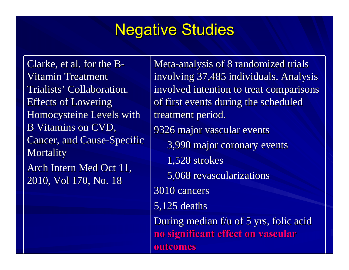### **Negative Studies**

Clarke, et al. for the  $B-$ Vitamin Treatment Trialists' Collaboration. Effects of Lowering Homocysteine Levels with B Vitamins on CVD, Cancer, and Cause-Specific **Mortality** Arch Intern Med Oct 11, 2010, Vol 170, No. 18

Meta-analysis of 8 randomized trials involving 37,485 individuals. Analysis involved intention to treat comparisons of first events during the scheduled treatment period. 9326 major vascular events 9326 major vascular events 3,990 major coronary events 3,990 major coronary events 1,528 strokes 5,068 revascularizations 5,068 revascularizations 3010 cancers 3010 cancers $5,125$  deaths During median  $f/u$  of 5 yrs, folic acid **no significant effect on vascular no significant effect on vascular outcomes outcomes**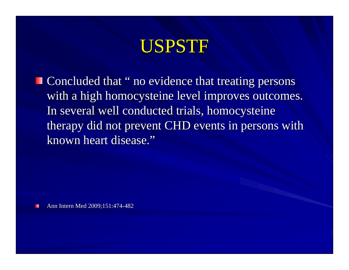## USPSTF

 $\blacksquare$  Concluded that " no evidence that treating persons with a high homocysteine level improves outcomes. In several well conducted trials, homocysteine therapy did not prevent CHD events in persons with known heart disease."

Ann Intern Med 2009;151:474-482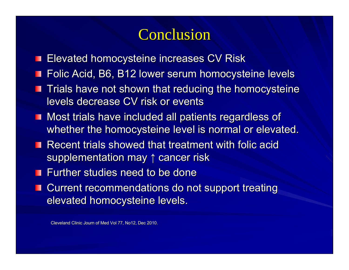#### **Conclusion**

- **Elevated homocysteine increases CV Risk**
- **Folic Acid, B6, B12 lower serum homocysteine levels**
- **Trials have not shown that reducing the homocysteine** levels decrease CV risk or events
- Most trials have included all patients regardless of whether the homocysteine level is normal or elevated.
- **Recent trials showed that treatment with folic acid Recent trials showed that treatment with folic acid** supplementation may  $\uparrow$  cancer risk
- **Further studies need to be done**
- **E** Current recommendations do not support treating elevated homocysteine levels.

Cleveland Clinic Journ of Med Vol 77, No12, Dec 2010.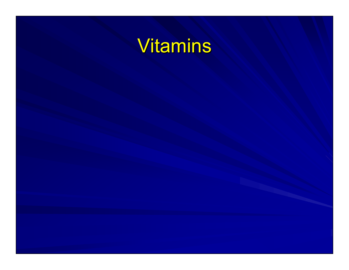## Vitamins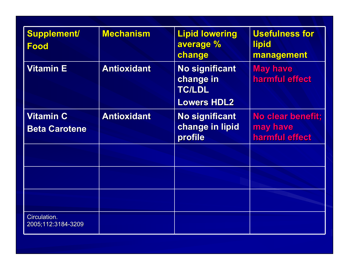| <b>Supplement/</b><br><b>Food</b>        | <b>Mechanism</b>   | <b>Lipid lowering</b><br>average %<br>change                              | <b>Usefulness for</b><br><b>lipid</b><br>management |
|------------------------------------------|--------------------|---------------------------------------------------------------------------|-----------------------------------------------------|
| <b>Vitamin E</b>                         | <b>Antioxidant</b> | <b>No significant</b><br>change in<br><b>TC/LDL</b><br><b>Lowers HDL2</b> | <b>May have</b><br>harmful effect                   |
| <b>Vitamin C</b><br><b>Beta Carotene</b> | <b>Antioxidant</b> | <b>No significant</b><br>change in lipid<br>profile                       | No clear benefit;<br>may have<br>harmful effect     |
|                                          |                    |                                                                           |                                                     |
|                                          |                    |                                                                           |                                                     |
| Circulation.<br>2005;112:3184-3209       |                    |                                                                           |                                                     |